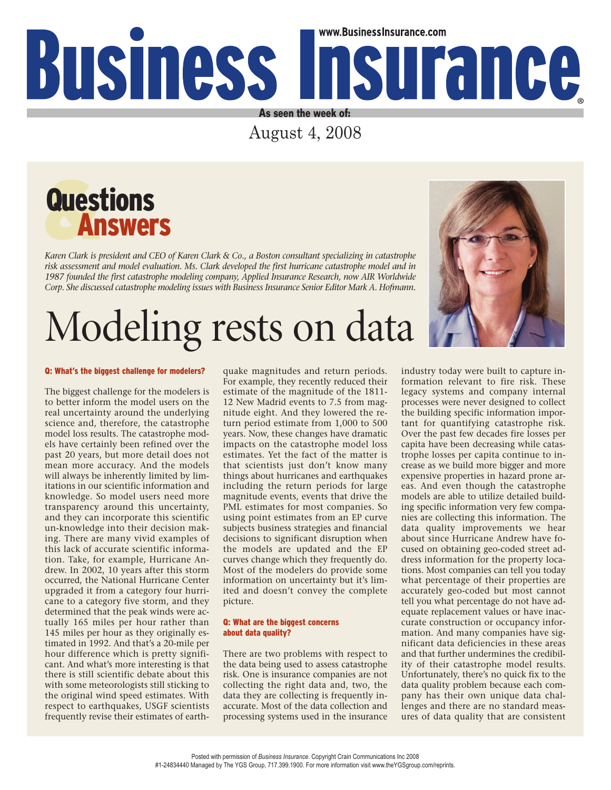## www.BusinessInsurance.com Business Insurance **As seen the week of:**

August 4, 2008



*Karen Clark is president and CEO of Karen Clark & Co., a Boston consultant specializing in catastrophe risk assessment and model evaluation. Ms. Clark developed the first hurricane catastrophe model and in 1987 founded the first catastrophe modeling company, Applied Insurance Research, now AIR Worldwide Corp. She discussed catastrophe modeling issues with Business Insurance Senior Editor Mark A. Hofmann.*

# Modeling rests on data

#### Q: What's the biggest challenge for modelers?

The biggest challenge for the modelers is to better inform the model users on the real uncertainty around the underlying science and, therefore, the catastrophe model loss results. The catastrophe models have certainly been refined over the past 20 years, but more detail does not mean more accuracy. And the models will always be inherently limited by limitations in our scientific information and knowledge. So model users need more transparency around this uncertainty, and they can incorporate this scientific un-knowledge into their decision making. There are many vivid examples of this lack of accurate scientific information. Take, for example, Hurricane Andrew. In 2002, 10 years after this storm occurred, the National Hurricane Center upgraded it from a category four hurricane to a category five storm, and they determined that the peak winds were actually 165 miles per hour rather than 145 miles per hour as they originally estimated in 1992. And that's a 20-mile per hour difference which is pretty significant. And what's more interesting is that there is still scientific debate about this with some meteorologists still sticking to the original wind speed estimates. With respect to earthquakes, USGF scientists frequently revise their estimates of earthquake magnitudes and return periods. For example, they recently reduced their estimate of the magnitude of the 1811- 12 New Madrid events to 7.5 from magnitude eight. And they lowered the return period estimate from 1,000 to 500 years. Now, these changes have dramatic impacts on the catastrophe model loss estimates. Yet the fact of the matter is that scientists just don't know many things about hurricanes and earthquakes including the return periods for large magnitude events, events that drive the PML estimates for most companies. So using point estimates from an EP curve subjects business strategies and financial decisions to significant disruption when the models are updated and the EP curves change which they frequently do. Most of the modelers do provide some information on uncertainty but it's limited and doesn't convey the complete picture.

### Q: What are the biggest concerns about data quality?

There are two problems with respect to the data being used to assess catastrophe risk. One is insurance companies are not collecting the right data and, two, the data they are collecting is frequently inaccurate. Most of the data collection and processing systems used in the insurance

industry today were built to capture information relevant to fire risk. These legacy systems and company internal processes were never designed to collect the building specific information important for quantifying catastrophe risk. Over the past few decades fire losses per capita have been decreasing while catastrophe losses per capita continue to increase as we build more bigger and more expensive properties in hazard prone areas. And even though the catastrophe models are able to utilize detailed building specific information very few companies are collecting this information. The data quality improvements we hear about since Hurricane Andrew have focused on obtaining geo-coded street address information for the property locations. Most companies can tell you today what percentage of their properties are accurately geo-coded but most cannot tell you what percentage do not have adequate replacement values or have inaccurate construction or occupancy information. And many companies have significant data deficiencies in these areas and that further undermines the credibility of their catastrophe model results. Unfortunately, there's no quick fix to the data quality problem because each company has their own unique data challenges and there are no standard measures of data quality that are consistent